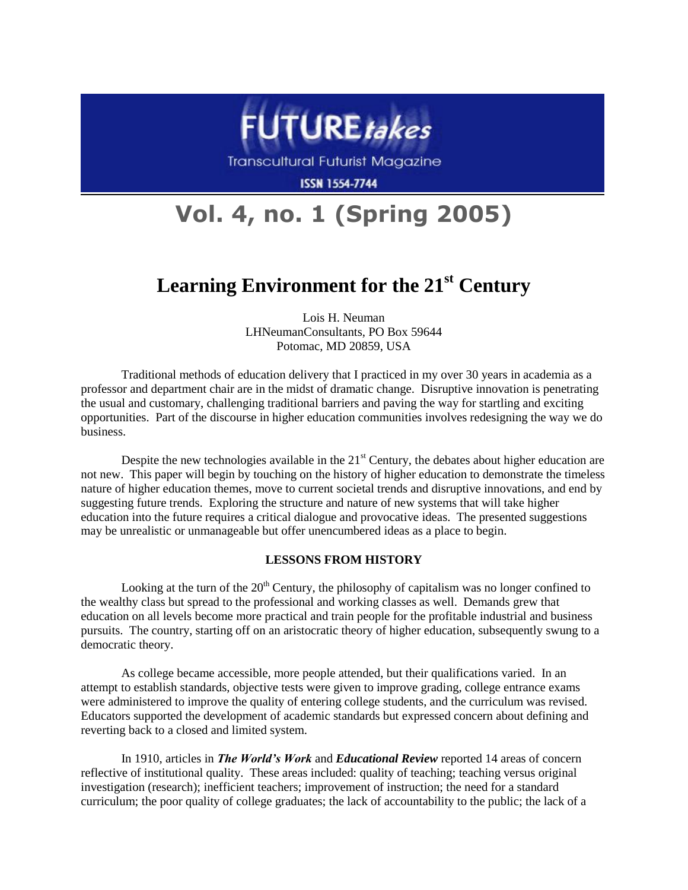

Transcultural Futurist Magazine

**ISSN 1554-7744** 

# **Vol. 4, no. 1 (Spring 2005)**

# **Learning Environment for the 21st Century**

Lois H. Neuman LHNeumanConsultants, PO Box 59644 Potomac, MD 20859, USA

Traditional methods of education delivery that I practiced in my over 30 years in academia as a professor and department chair are in the midst of dramatic change. Disruptive innovation is penetrating the usual and customary, challenging traditional barriers and paving the way for startling and exciting opportunities. Part of the discourse in higher education communities involves redesigning the way we do business.

Despite the new technologies available in the  $21<sup>st</sup>$  Century, the debates about higher education are not new. This paper will begin by touching on the history of higher education to demonstrate the timeless nature of higher education themes, move to current societal trends and disruptive innovations, and end by suggesting future trends. Exploring the structure and nature of new systems that will take higher education into the future requires a critical dialogue and provocative ideas. The presented suggestions may be unrealistic or unmanageable but offer unencumbered ideas as a place to begin.

## **LESSONS FROM HISTORY**

Looking at the turn of the  $20<sup>th</sup>$  Century, the philosophy of capitalism was no longer confined to the wealthy class but spread to the professional and working classes as well. Demands grew that education on all levels become more practical and train people for the profitable industrial and business pursuits. The country, starting off on an aristocratic theory of higher education, subsequently swung to a democratic theory.

As college became accessible, more people attended, but their qualifications varied. In an attempt to establish standards, objective tests were given to improve grading, college entrance exams were administered to improve the quality of entering college students, and the curriculum was revised. Educators supported the development of academic standards but expressed concern about defining and reverting back to a closed and limited system.

In 1910, articles in *The World's Work* and *Educational Review* reported 14 areas of concern reflective of institutional quality. These areas included: quality of teaching; teaching versus original investigation (research); inefficient teachers; improvement of instruction; the need for a standard curriculum; the poor quality of college graduates; the lack of accountability to the public; the lack of a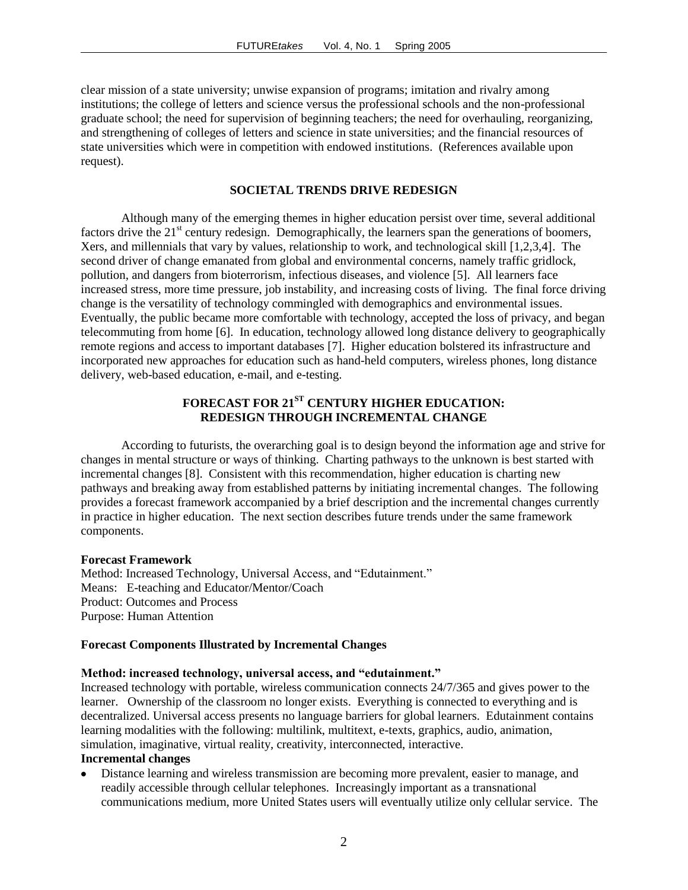clear mission of a state university; unwise expansion of programs; imitation and rivalry among institutions; the college of letters and science versus the professional schools and the non-professional graduate school; the need for supervision of beginning teachers; the need for overhauling, reorganizing, and strengthening of colleges of letters and science in state universities; and the financial resources of state universities which were in competition with endowed institutions. (References available upon request).

#### **SOCIETAL TRENDS DRIVE REDESIGN**

Although many of the emerging themes in higher education persist over time, several additional factors drive the  $21<sup>st</sup>$  century redesign. Demographically, the learners span the generations of boomers, Xers, and millennials that vary by values, relationship to work, and technological skill [1,2,3,4]. The second driver of change emanated from global and environmental concerns, namely traffic gridlock, pollution, and dangers from bioterrorism, infectious diseases, and violence [5]. All learners face increased stress, more time pressure, job instability, and increasing costs of living. The final force driving change is the versatility of technology commingled with demographics and environmental issues. Eventually, the public became more comfortable with technology, accepted the loss of privacy, and began telecommuting from home [6]. In education, technology allowed long distance delivery to geographically remote regions and access to important databases [7]. Higher education bolstered its infrastructure and incorporated new approaches for education such as hand-held computers, wireless phones, long distance delivery, web-based education, e-mail, and e-testing.

# **FORECAST FOR 21ST CENTURY HIGHER EDUCATION: REDESIGN THROUGH INCREMENTAL CHANGE**

According to futurists, the overarching goal is to design beyond the information age and strive for changes in mental structure or ways of thinking. Charting pathways to the unknown is best started with incremental changes [8]. Consistent with this recommendation, higher education is charting new pathways and breaking away from established patterns by initiating incremental changes. The following provides a forecast framework accompanied by a brief description and the incremental changes currently in practice in higher education. The next section describes future trends under the same framework components.

#### **Forecast Framework**

Method: Increased Technology, Universal Access, and "Edutainment." Means: E-teaching and Educator/Mentor/Coach Product: Outcomes and Process Purpose: Human Attention

#### **Forecast Components Illustrated by Incremental Changes**

#### **Method: increased technology, universal access, and "edutainment."**

Increased technology with portable, wireless communication connects 24/7/365 and gives power to the learner. Ownership of the classroom no longer exists. Everything is connected to everything and is decentralized. Universal access presents no language barriers for global learners. Edutainment contains learning modalities with the following: multilink, multitext, e-texts, graphics, audio, animation, simulation, imaginative, virtual reality, creativity, interconnected, interactive.

# **Incremental changes**

Distance learning and wireless transmission are becoming more prevalent, easier to manage, and readily accessible through cellular telephones. Increasingly important as a transnational communications medium, more United States users will eventually utilize only cellular service. The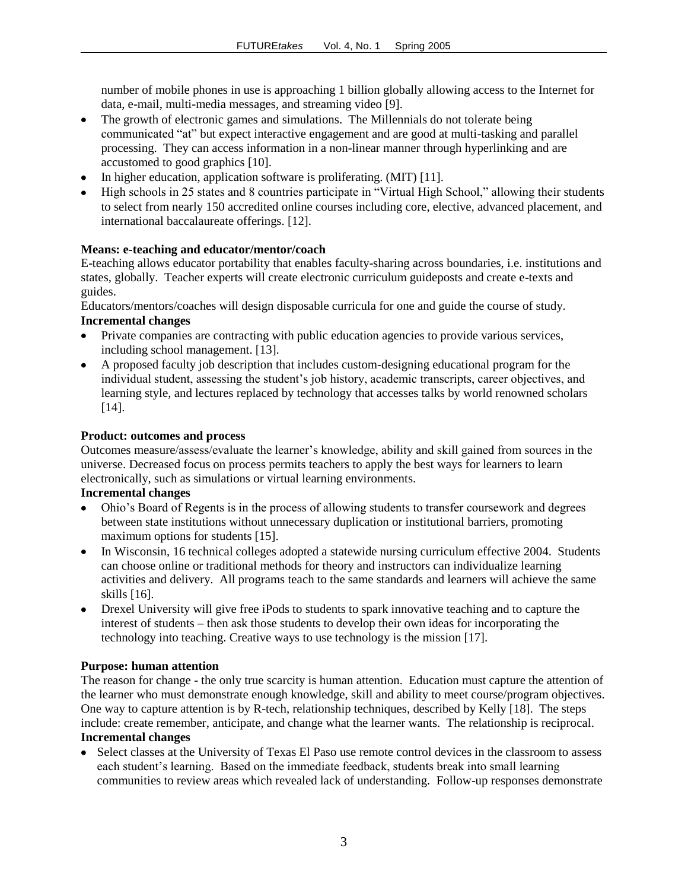number of mobile phones in use is approaching 1 billion globally allowing access to the Internet for data, e-mail, multi-media messages, and streaming video [9].

- The growth of electronic games and simulations. The Millennials do not tolerate being communicated "at" but expect interactive engagement and are good at multi-tasking and parallel processing. They can access information in a non-linear manner through hyperlinking and are accustomed to good graphics [10].
- In higher education, application software is proliferating. (MIT) [11].
- High schools in 25 states and 8 countries participate in "Virtual High School," allowing their students to select from nearly 150 accredited online courses including core, elective, advanced placement, and international baccalaureate offerings. [12].

# **Means: e-teaching and educator/mentor/coach**

E-teaching allows educator portability that enables faculty-sharing across boundaries, i.e. institutions and states, globally. Teacher experts will create electronic curriculum guideposts and create e-texts and guides.

Educators/mentors/coaches will design disposable curricula for one and guide the course of study.

# **Incremental changes**

- Private companies are contracting with public education agencies to provide various services,  $\bullet$ including school management. [13].
- A proposed faculty job description that includes custom-designing educational program for the individual student, assessing the student's job history, academic transcripts, career objectives, and learning style, and lectures replaced by technology that accesses talks by world renowned scholars [14].

# **Product: outcomes and process**

Outcomes measure/assess/evaluate the learner's knowledge, ability and skill gained from sources in the universe. Decreased focus on process permits teachers to apply the best ways for learners to learn electronically, such as simulations or virtual learning environments.

# **Incremental changes**

- Ohio's Board of Regents is in the process of allowing students to transfer coursework and degrees between state institutions without unnecessary duplication or institutional barriers, promoting maximum options for students [15].
- In Wisconsin, 16 technical colleges adopted a statewide nursing curriculum effective 2004. Students can choose online or traditional methods for theory and instructors can individualize learning activities and delivery. All programs teach to the same standards and learners will achieve the same skills [16].
- Drexel University will give free iPods to students to spark innovative teaching and to capture the interest of students – then ask those students to develop their own ideas for incorporating the technology into teaching. Creative ways to use technology is the mission [17].

# **Purpose: human attention**

The reason for change - the only true scarcity is human attention. Education must capture the attention of the learner who must demonstrate enough knowledge, skill and ability to meet course/program objectives. One way to capture attention is by R-tech, relationship techniques, described by Kelly [18]. The steps include: create remember, anticipate, and change what the learner wants. The relationship is reciprocal. **Incremental changes** 

• Select classes at the University of Texas El Paso use remote control devices in the classroom to assess each student's learning. Based on the immediate feedback, students break into small learning communities to review areas which revealed lack of understanding. Follow-up responses demonstrate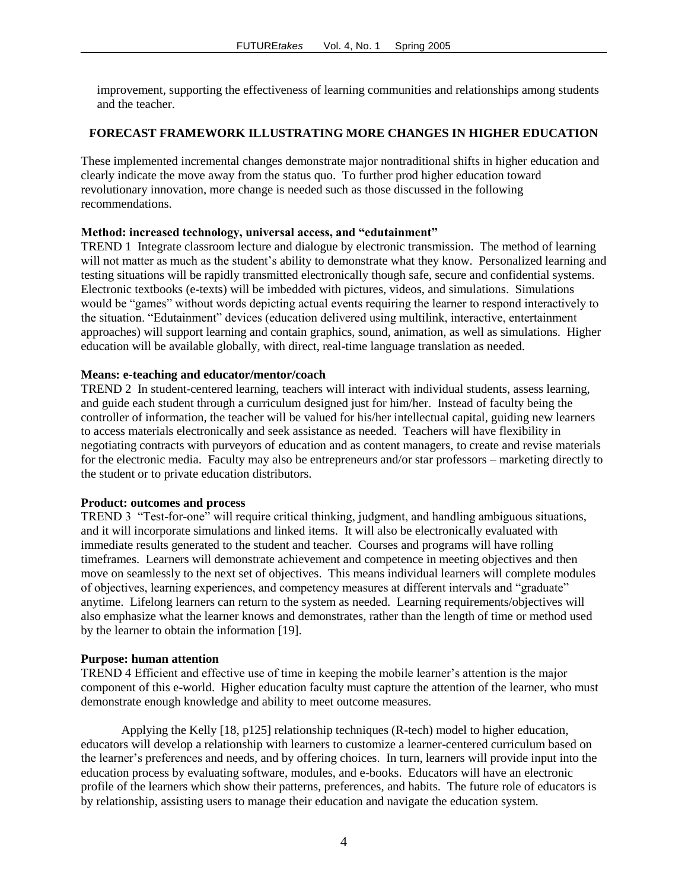improvement, supporting the effectiveness of learning communities and relationships among students and the teacher.

# **FORECAST FRAMEWORK ILLUSTRATING MORE CHANGES IN HIGHER EDUCATION**

These implemented incremental changes demonstrate major nontraditional shifts in higher education and clearly indicate the move away from the status quo. To further prod higher education toward revolutionary innovation, more change is needed such as those discussed in the following recommendations.

## **Method: increased technology, universal access, and "edutainment"**

TREND 1 Integrate classroom lecture and dialogue by electronic transmission. The method of learning will not matter as much as the student's ability to demonstrate what they know. Personalized learning and testing situations will be rapidly transmitted electronically though safe, secure and confidential systems. Electronic textbooks (e-texts) will be imbedded with pictures, videos, and simulations. Simulations would be "games" without words depicting actual events requiring the learner to respond interactively to the situation. "Edutainment" devices (education delivered using multilink, interactive, entertainment approaches) will support learning and contain graphics, sound, animation, as well as simulations. Higher education will be available globally, with direct, real-time language translation as needed.

# **Means: e-teaching and educator/mentor/coach**

TREND 2 In student-centered learning, teachers will interact with individual students, assess learning, and guide each student through a curriculum designed just for him/her. Instead of faculty being the controller of information, the teacher will be valued for his/her intellectual capital, guiding new learners to access materials electronically and seek assistance as needed. Teachers will have flexibility in negotiating contracts with purveyors of education and as content managers, to create and revise materials for the electronic media. Faculty may also be entrepreneurs and/or star professors – marketing directly to the student or to private education distributors.

#### **Product: outcomes and process**

TREND 3 "Test-for-one" will require critical thinking, judgment, and handling ambiguous situations, and it will incorporate simulations and linked items. It will also be electronically evaluated with immediate results generated to the student and teacher. Courses and programs will have rolling timeframes. Learners will demonstrate achievement and competence in meeting objectives and then move on seamlessly to the next set of objectives. This means individual learners will complete modules of objectives, learning experiences, and competency measures at different intervals and "graduate" anytime. Lifelong learners can return to the system as needed. Learning requirements/objectives will also emphasize what the learner knows and demonstrates, rather than the length of time or method used by the learner to obtain the information [19].

## **Purpose: human attention**

TREND 4 Efficient and effective use of time in keeping the mobile learner's attention is the major component of this e-world. Higher education faculty must capture the attention of the learner, who must demonstrate enough knowledge and ability to meet outcome measures.

Applying the Kelly [18, p125] relationship techniques (R-tech) model to higher education, educators will develop a relationship with learners to customize a learner-centered curriculum based on the learner's preferences and needs, and by offering choices. In turn, learners will provide input into the education process by evaluating software, modules, and e-books. Educators will have an electronic profile of the learners which show their patterns, preferences, and habits. The future role of educators is by relationship, assisting users to manage their education and navigate the education system.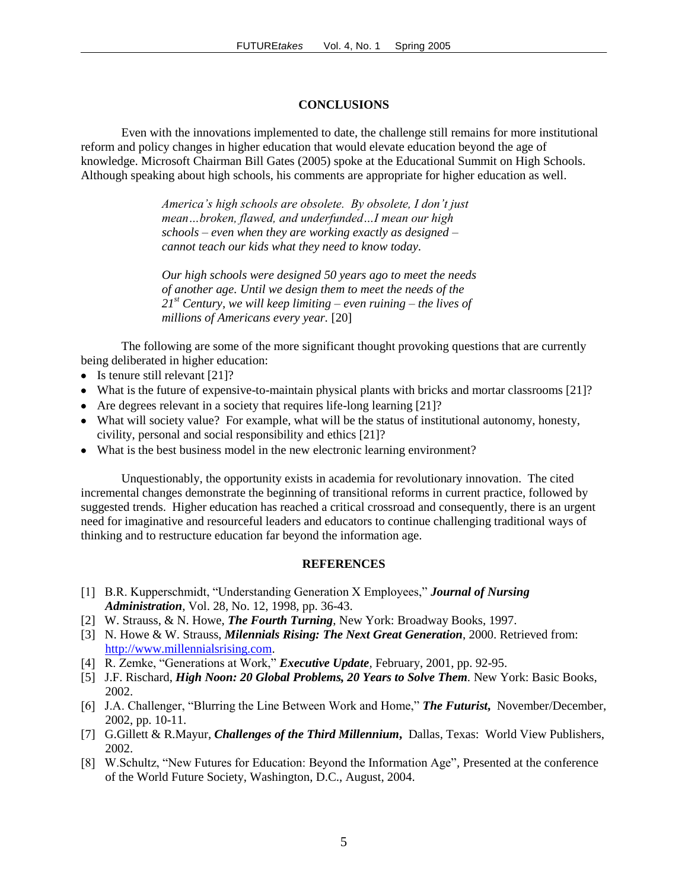## **CONCLUSIONS**

Even with the innovations implemented to date, the challenge still remains for more institutional reform and policy changes in higher education that would elevate education beyond the age of knowledge. Microsoft Chairman Bill Gates (2005) spoke at the Educational Summit on High Schools. Although speaking about high schools, his comments are appropriate for higher education as well.

> *America's high schools are obsolete. By obsolete, I don't just mean…broken, flawed, and underfunded…I mean our high schools – even when they are working exactly as designed – cannot teach our kids what they need to know today.*

*Our high schools were designed 50 years ago to meet the needs of another age. Until we design them to meet the needs of the 21st Century, we will keep limiting – even ruining – the lives of millions of Americans every year.* [20]

The following are some of the more significant thought provoking questions that are currently being deliberated in higher education:

- $\bullet$  Is tenure still relevant [21]?
- What is the future of expensive-to-maintain physical plants with bricks and mortar classrooms [21]?
- Are degrees relevant in a society that requires life-long learning [21]?
- What will society value? For example, what will be the status of institutional autonomy, honesty, civility, personal and social responsibility and ethics [21]?
- What is the best business model in the new electronic learning environment?

Unquestionably, the opportunity exists in academia for revolutionary innovation. The cited incremental changes demonstrate the beginning of transitional reforms in current practice, followed by suggested trends. Higher education has reached a critical crossroad and consequently, there is an urgent need for imaginative and resourceful leaders and educators to continue challenging traditional ways of thinking and to restructure education far beyond the information age.

#### **REFERENCES**

- [1] B.R. Kupperschmidt, "Understanding Generation X Employees," *Journal of Nursing Administration*, Vol. 28, No. 12, 1998, pp. 36-43.
- [2] W. Strauss, & N. Howe, *The Fourth Turning*, New York: Broadway Books, 1997.
- [3] N. Howe & W. Strauss, *Milennials Rising: The Next Great Generation*, 2000. Retrieved from: [http://www.millennialsrising.com.](http://www.millennialsrising.com/)
- [4] R. Zemke, "Generations at Work," *Executive Update,* February, 2001, pp. 92-95.
- [5] J.F. Rischard, *High Noon: 20 Global Problems, 20 Years to Solve Them*. New York: Basic Books, 2002.
- [6] J.A. Challenger, "Blurring the Line Between Work and Home," *The Futurist***,** November/December, 2002, pp. 10-11.
- [7] G.Gillett & R.Mayur, *Challenges of the Third Millennium***,** Dallas, Texas: World View Publishers, 2002.
- [8] W.Schultz, "New Futures for Education: Beyond the Information Age"*,* Presented at the conference of the World Future Society, Washington, D.C., August, 2004.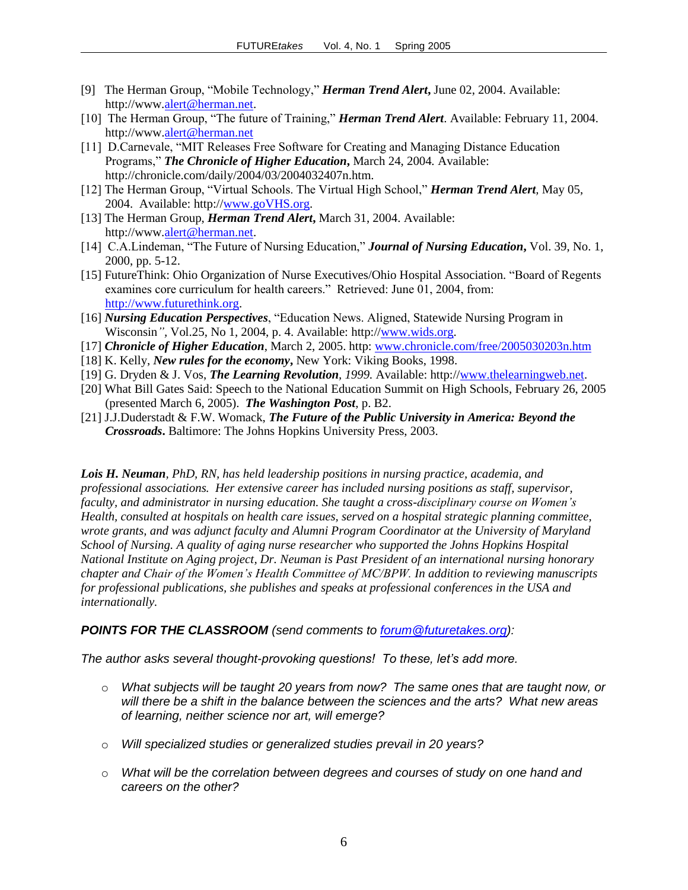- [9] The Herman Group, "Mobile Technology," *Herman Trend Alert***,** June 02, 2004. Available: http://www[.alert@herman.net.](mailto:alert@herman.net)
- [10] The Herman Group, "The future of Training," *Herman Trend Alert*. Available: February 11, 2004. http://www[.alert@herman.net](mailto:alert@herman.net)
- [11] D.Carnevale, "MIT Releases Free Software for Creating and Managing Distance Education Programs," *The Chronicle of Higher Education***,** March 24, 2004*.* Available: http://chronicle.com/daily/2004/03/2004032407n.htm.
- [12] The Herman Group, "Virtual Schools. The Virtual High School," *Herman Trend Alert,* May 05, 2004. Available: http:/[/www.goVHS.org.](http://www.govhs.org/)
- [13] The Herman Group, *Herman Trend Alert***,** March 31, 2004. Available: http://www[.alert@herman.net.](mailto:alert@herman.net)
- [14] C.A.Lindeman, "The Future of Nursing Education," *Journal of Nursing Education***,** Vol. 39, No. 1, 2000, pp. 5-12.
- [15] FutureThink: Ohio Organization of Nurse Executives/Ohio Hospital Association. "Board of Regents examines core curriculum for health careers." Retrieved: June 01, 2004, from: [http://www.futurethink.org.](http://www.futurethink.org/)
- [16] *Nursing Education Perspectives*, "Education News. Aligned, Statewide Nursing Program in Wisconsin*",* Vol.25, No 1, 2004, p. 4. Available: http:/[/www.wids.org.](http://www.wids.org/)
- [17] *Chronicle of Higher Education*, March 2, 2005. http: [www.chronicle.com/free/2005030203n.htm](http://www.chronicle.com/free/2005030203n.htm)
- [18] K. Kelly, *New rules for the economy***,** New York: Viking Books, 1998.
- [19] G. Dryden & J. Vos, *The Learning Revolution, 1999.* Available: http:/[/www.thelearningweb.net.](http://www.thelearningweb.net/)
- [20] What Bill Gates Said: Speech to the National Education Summit on High Schools, February 26, 2005 (presented March 6, 2005). *The Washington Post*, p. B2.
- [21] J.J.Duderstadt & F.W. Womack, *The Future of the Public University in America: Beyond the Crossroads***.** Baltimore: The Johns Hopkins University Press, 2003.

*Lois H. Neuman, PhD, RN, has held leadership positions in nursing practice, academia, and professional associations. Her extensive career has included nursing positions as staff, supervisor, faculty, and administrator in nursing education. She taught a cross-disciplinary course on Women's Health, consulted at hospitals on health care issues, served on a hospital strategic planning committee, wrote grants, and was adjunct faculty and Alumni Program Coordinator at the University of Maryland School of Nursing. A quality of aging nurse researcher who supported the Johns Hopkins Hospital National Institute on Aging project, Dr. Neuman is Past President of an international nursing honorary chapter and Chair of the Women's Health Committee of MC/BPW. In addition to reviewing manuscripts for professional publications, she publishes and speaks at professional conferences in the USA and internationally.*

## *POINTS FOR THE CLASSROOM (send comments to [forum@futuretakes.org\)](mailto:forum@futuretakes.org):*

*The author asks several thought-provoking questions! To these, let's add more.* 

- o *What subjects will be taught 20 years from now? The same ones that are taught now, or will there be a shift in the balance between the sciences and the arts? What new areas of learning, neither science nor art, will emerge?*
- o *Will specialized studies or generalized studies prevail in 20 years?*
- o *What will be the correlation between degrees and courses of study on one hand and careers on the other?*